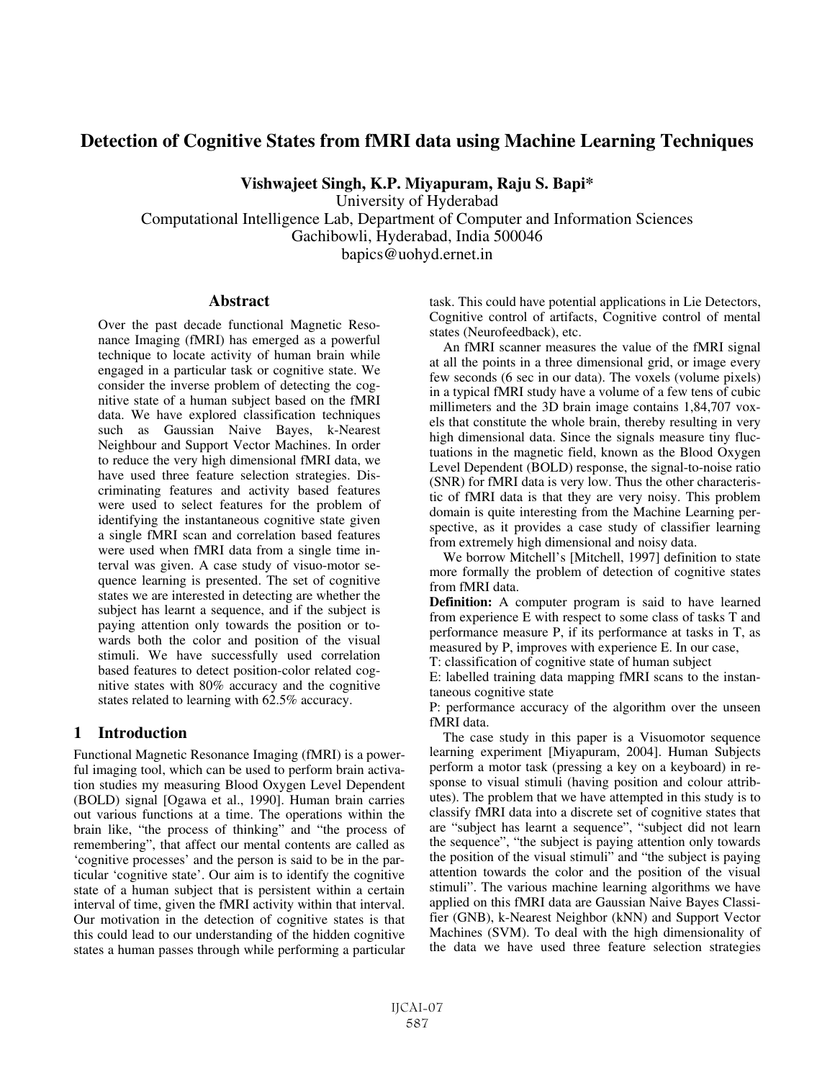# **Detection of Cognitive States from fMRI data using Machine Learning Techniques**

**Vishwajeet Singh, K.P. Miyapuram, Raju S. Bapi\*** 

University of Hyderabad Computational Intelligence Lab, Department of Computer and Information Sciences Gachibowli, Hyderabad, India 500046 bapics@uohyd.ernet.in

### **Abstract**

Over the past decade functional Magnetic Resonance Imaging (fMRI) has emerged as a powerful technique to locate activity of human brain while engaged in a particular task or cognitive state. We consider the inverse problem of detecting the cognitive state of a human subject based on the fMRI data. We have explored classification techniques such as Gaussian Naive Bayes, k-Nearest Neighbour and Support Vector Machines. In order to reduce the very high dimensional fMRI data, we have used three feature selection strategies. Discriminating features and activity based features were used to select features for the problem of identifying the instantaneous cognitive state given a single fMRI scan and correlation based features were used when fMRI data from a single time interval was given. A case study of visuo-motor sequence learning is presented. The set of cognitive states we are interested in detecting are whether the subject has learnt a sequence, and if the subject is paying attention only towards the position or towards both the color and position of the visual stimuli. We have successfully used correlation based features to detect position-color related cognitive states with 80% accuracy and the cognitive states related to learning with 62.5% accuracy.

# **1 Introduction**

Functional Magnetic Resonance Imaging (fMRI) is a powerful imaging tool, which can be used to perform brain activation studies my measuring Blood Oxygen Level Dependent (BOLD) signal [Ogawa et al., 1990]. Human brain carries out various functions at a time. The operations within the brain like, "the process of thinking" and "the process of remembering", that affect our mental contents are called as 'cognitive processes' and the person is said to be in the particular 'cognitive state'. Our aim is to identify the cognitive state of a human subject that is persistent within a certain interval of time, given the fMRI activity within that interval. Our motivation in the detection of cognitive states is that this could lead to our understanding of the hidden cognitive states a human passes through while performing a particular

task. This could have potential applications in Lie Detectors, Cognitive control of artifacts, Cognitive control of mental states (Neurofeedback), etc.

An fMRI scanner measures the value of the fMRI signal at all the points in a three dimensional grid, or image every few seconds (6 sec in our data). The voxels (volume pixels) in a typical fMRI study have a volume of a few tens of cubic millimeters and the 3D brain image contains 1,84,707 voxels that constitute the whole brain, thereby resulting in very high dimensional data. Since the signals measure tiny fluctuations in the magnetic field, known as the Blood Oxygen Level Dependent (BOLD) response, the signal-to-noise ratio (SNR) for fMRI data is very low. Thus the other characteristic of fMRI data is that they are very noisy. This problem domain is quite interesting from the Machine Learning perspective, as it provides a case study of classifier learning from extremely high dimensional and noisy data.

We borrow Mitchell's [Mitchell, 1997] definition to state more formally the problem of detection of cognitive states from fMRI data.

**Definition:** A computer program is said to have learned from experience E with respect to some class of tasks T and performance measure P, if its performance at tasks in T, as measured by P, improves with experience E. In our case,

T: classification of cognitive state of human subject

E: labelled training data mapping fMRI scans to the instantaneous cognitive state

P: performance accuracy of the algorithm over the unseen fMRI data.

The case study in this paper is a Visuomotor sequence learning experiment [Miyapuram, 2004]. Human Subjects perform a motor task (pressing a key on a keyboard) in response to visual stimuli (having position and colour attributes). The problem that we have attempted in this study is to classify fMRI data into a discrete set of cognitive states that are "subject has learnt a sequence", "subject did not learn the sequence", "the subject is paying attention only towards the position of the visual stimuli" and "the subject is paying attention towards the color and the position of the visual stimuli". The various machine learning algorithms we have applied on this fMRI data are Gaussian Naive Bayes Classifier (GNB), k-Nearest Neighbor (kNN) and Support Vector Machines (SVM). To deal with the high dimensionality of the data we have used three feature selection strategies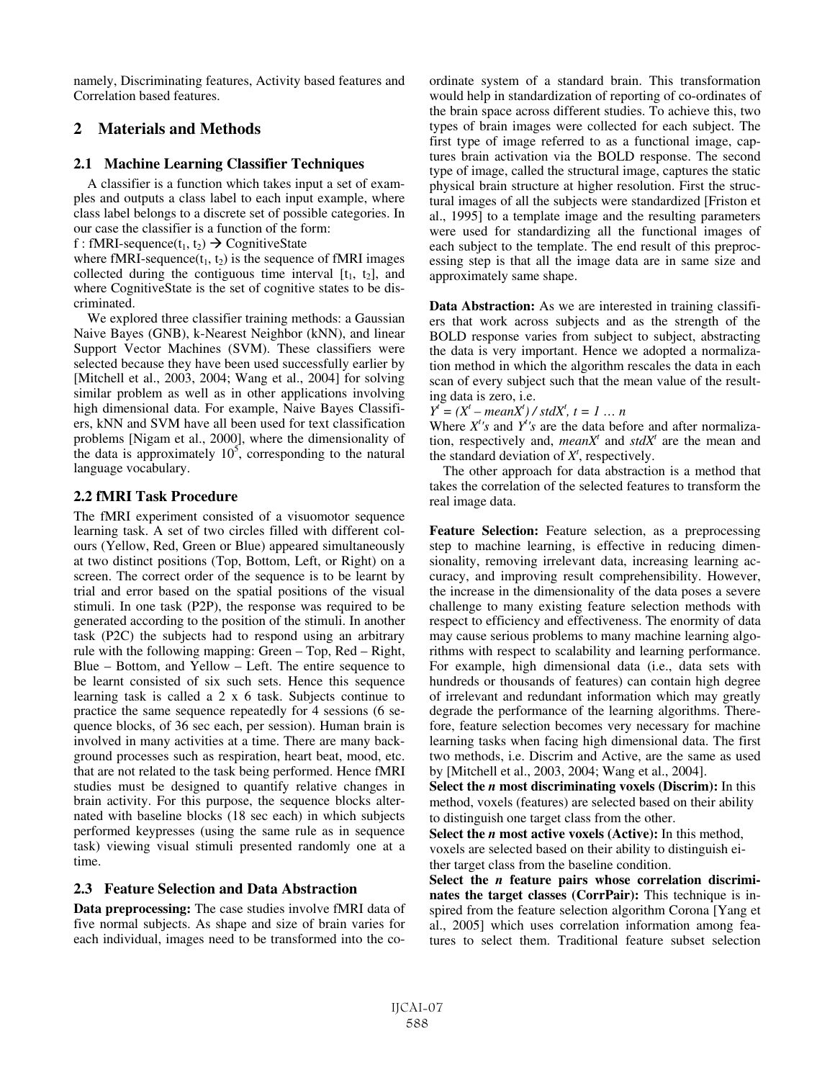namely, Discriminating features, Activity based features and Correlation based features.

## **2 Materials and Methods**

#### **2.1 Machine Learning Classifier Techniques**

A classifier is a function which takes input a set of examples and outputs a class label to each input example, where class label belongs to a discrete set of possible categories. In our case the classifier is a function of the form:

f : fMRI-sequence( $t_1, t_2$ )  $\rightarrow$  CognitiveState

where fMRI-sequence( $t_1, t_2$ ) is the sequence of fMRI images collected during the contiguous time interval  $[t_1, t_2]$ , and where CognitiveState is the set of cognitive states to be discriminated.

We explored three classifier training methods: a Gaussian Naive Bayes (GNB), k-Nearest Neighbor (kNN), and linear Support Vector Machines (SVM). These classifiers were selected because they have been used successfully earlier by [Mitchell et al., 2003, 2004; Wang et al., 2004] for solving similar problem as well as in other applications involving high dimensional data. For example, Naive Bayes Classifiers, kNN and SVM have all been used for text classification problems [Nigam et al., 2000], where the dimensionality of the data is approximately  $10<sup>5</sup>$ , corresponding to the natural language vocabulary.

### **2.2 fMRI Task Procedure**

The fMRI experiment consisted of a visuomotor sequence learning task. A set of two circles filled with different colours (Yellow, Red, Green or Blue) appeared simultaneously at two distinct positions (Top, Bottom, Left, or Right) on a screen. The correct order of the sequence is to be learnt by trial and error based on the spatial positions of the visual stimuli. In one task (P2P), the response was required to be generated according to the position of the stimuli. In another task (P2C) the subjects had to respond using an arbitrary rule with the following mapping: Green – Top, Red – Right, Blue – Bottom, and Yellow – Left. The entire sequence to be learnt consisted of six such sets. Hence this sequence learning task is called a 2 x 6 task. Subjects continue to practice the same sequence repeatedly for 4 sessions (6 sequence blocks, of 36 sec each, per session). Human brain is involved in many activities at a time. There are many background processes such as respiration, heart beat, mood, etc. that are not related to the task being performed. Hence fMRI studies must be designed to quantify relative changes in brain activity. For this purpose, the sequence blocks alternated with baseline blocks (18 sec each) in which subjects performed keypresses (using the same rule as in sequence task) viewing visual stimuli presented randomly one at a time.

### **2.3 Feature Selection and Data Abstraction**

**Data preprocessing:** The case studies involve fMRI data of five normal subjects. As shape and size of brain varies for each individual, images need to be transformed into the coordinate system of a standard brain. This transformation would help in standardization of reporting of co-ordinates of the brain space across different studies. To achieve this, two types of brain images were collected for each subject. The first type of image referred to as a functional image, captures brain activation via the BOLD response. The second type of image, called the structural image, captures the static physical brain structure at higher resolution. First the structural images of all the subjects were standardized [Friston et al., 1995] to a template image and the resulting parameters were used for standardizing all the functional images of each subject to the template. The end result of this preprocessing step is that all the image data are in same size and approximately same shape.

**Data Abstraction:** As we are interested in training classifiers that work across subjects and as the strength of the BOLD response varies from subject to subject, abstracting the data is very important. Hence we adopted a normalization method in which the algorithm rescales the data in each scan of every subject such that the mean value of the resulting data is zero, i.e.

 $Y^{\dagger} = (X^{\dagger} - meanX^{\dagger}) / stdX^{\dagger}, t = 1 ... n$ 

Where  $X<sup>t</sup>'s$  and  $Y<sup>t</sup>'s$  are the data before and after normalization, respectively and, *meanX<sup>t</sup>* and  $stdX<sup>t</sup>$  are the mean and the standard deviation of  $X<sup>t</sup>$ , respectively.

The other approach for data abstraction is a method that takes the correlation of the selected features to transform the real image data.

**Feature Selection:** Feature selection, as a preprocessing step to machine learning, is effective in reducing dimensionality, removing irrelevant data, increasing learning accuracy, and improving result comprehensibility. However, the increase in the dimensionality of the data poses a severe challenge to many existing feature selection methods with respect to efficiency and effectiveness. The enormity of data may cause serious problems to many machine learning algorithms with respect to scalability and learning performance. For example, high dimensional data (i.e., data sets with hundreds or thousands of features) can contain high degree of irrelevant and redundant information which may greatly degrade the performance of the learning algorithms. Therefore, feature selection becomes very necessary for machine learning tasks when facing high dimensional data. The first two methods, i.e. Discrim and Active, are the same as used by [Mitchell et al., 2003, 2004; Wang et al., 2004].

**Select the** *n* **most discriminating voxels (Discrim):** In this method, voxels (features) are selected based on their ability to distinguish one target class from the other.

**Select the** *n* **most active voxels (Active):** In this method, voxels are selected based on their ability to distinguish either target class from the baseline condition.

**Select the** *n* **feature pairs whose correlation discriminates the target classes (CorrPair):** This technique is inspired from the feature selection algorithm Corona [Yang et al., 2005] which uses correlation information among features to select them. Traditional feature subset selection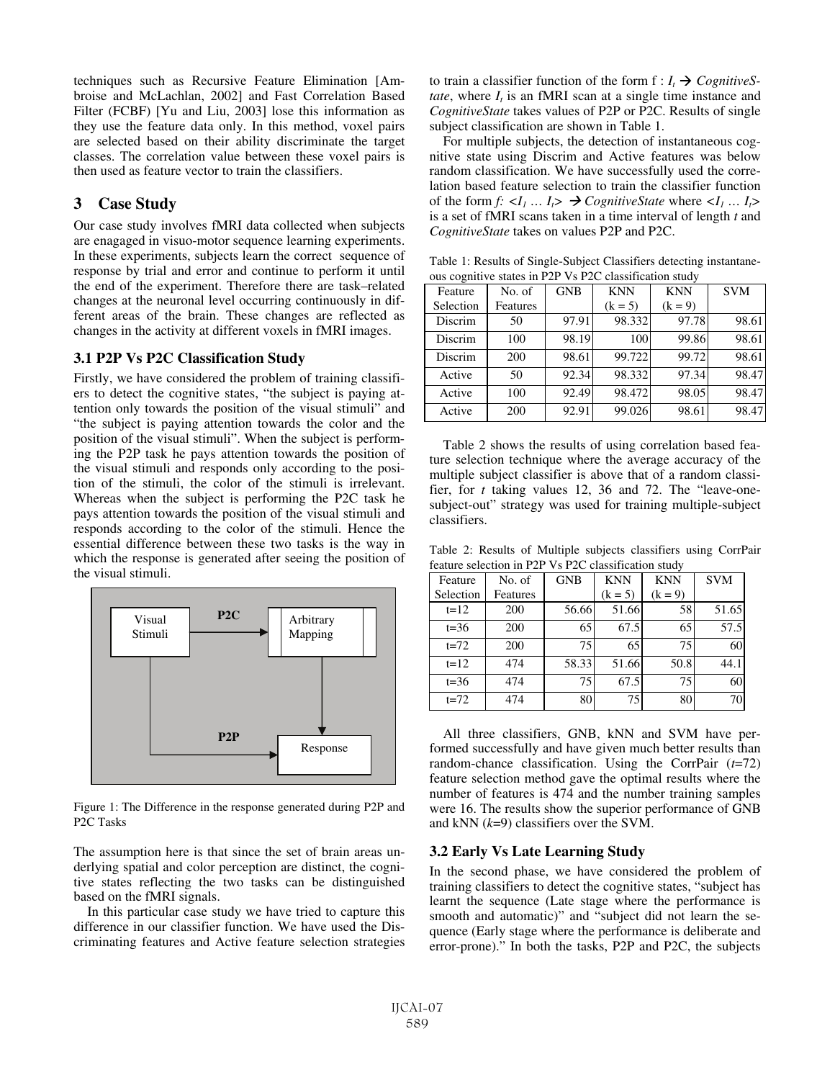techniques such as Recursive Feature Elimination [Ambroise and McLachlan, 2002] and Fast Correlation Based Filter (FCBF) [Yu and Liu, 2003] lose this information as they use the feature data only. In this method, voxel pairs are selected based on their ability discriminate the target classes. The correlation value between these voxel pairs is then used as feature vector to train the classifiers.

# **3 Case Study**

Our case study involves fMRI data collected when subjects are enagaged in visuo-motor sequence learning experiments. In these experiments, subjects learn the correct sequence of response by trial and error and continue to perform it until the end of the experiment. Therefore there are task–related changes at the neuronal level occurring continuously in different areas of the brain. These changes are reflected as changes in the activity at different voxels in fMRI images.

#### **3.1 P2P Vs P2C Classification Study**

Firstly, we have considered the problem of training classifiers to detect the cognitive states, "the subject is paying attention only towards the position of the visual stimuli" and "the subject is paying attention towards the color and the position of the visual stimuli". When the subject is performing the P2P task he pays attention towards the position of the visual stimuli and responds only according to the position of the stimuli, the color of the stimuli is irrelevant. Whereas when the subject is performing the P2C task he pays attention towards the position of the visual stimuli and responds according to the color of the stimuli. Hence the essential difference between these two tasks is the way in which the response is generated after seeing the position of the visual stimuli.



Figure 1: The Difference in the response generated during P2P and P2C Tasks

The assumption here is that since the set of brain areas underlying spatial and color perception are distinct, the cognitive states reflecting the two tasks can be distinguished based on the fMRI signals.

In this particular case study we have tried to capture this difference in our classifier function. We have used the Discriminating features and Active feature selection strategies to train a classifier function of the form  $f: I_t \to CogenitiveS$ *tate*, where  $I_t$  is an fMRI scan at a single time instance and *CognitiveState* takes values of P2P or P2C. Results of single subject classification are shown in Table 1.

For multiple subjects, the detection of instantaneous cognitive state using Discrim and Active features was below random classification. We have successfully used the correlation based feature selection to train the classifier function of the form  $f: \langle I_1 \dots I_r \rangle \rightarrow \text{CognitiveState}$  where  $\langle I_1 \dots I_r \rangle$ is a set of fMRI scans taken in a time interval of length *t* and *CognitiveState* takes on values P2P and P2C.

Table 1: Results of Single-Subject Classifiers detecting instantaneous cognitive states in P2P Vs P2C classification study

| Feature   | No. of   | <b>GNB</b> | <b>KNN</b> | <b>KNN</b> | <b>SVM</b> |
|-----------|----------|------------|------------|------------|------------|
| Selection | Features |            | $(k = 5)$  | $(k = 9)$  |            |
| Discrim   | 50       | 97.91      | 98.332     | 97.78      | 98.61      |
| Discrim   | 100      | 98.19      | 100        | 99.86      | 98.61      |
| Discrim   | 200      | 98.61      | 99.722     | 99.72      | 98.61      |
| Active    | 50       | 92.34      | 98.332     | 97.34      | 98.47      |
| Active    | 100      | 92.49      | 98.472     | 98.05      | 98.47      |
| Active    | 200      | 92.91      | 99.026     | 98.61      | 98.47      |

Table 2 shows the results of using correlation based feature selection technique where the average accuracy of the multiple subject classifier is above that of a random classifier, for *t* taking values 12, 36 and 72. The "leave-onesubject-out" strategy was used for training multiple-subject classifiers.

Table 2: Results of Multiple subjects classifiers using CorrPair feature selection in P2P Vs P2C classification study

| Feature   | No. of   | <b>GNB</b> | <b>KNN</b> | <b>KNN</b> | <b>SVM</b> |
|-----------|----------|------------|------------|------------|------------|
| Selection | Features |            | $(k = 5)$  | $(k = 9)$  |            |
| $t=12$    | 200      | 56.66      | 51.66      | 58         | 51.65      |
| $t=36$    | 200      | 65         | 67.5       | 65         | 57.5       |
| $t=72$    | 200      | 75         | 65         | 75         | 60         |
| $t=12$    | 474      | 58.33      | 51.66      | 50.8       | 44.1       |
| $t=36$    | 474      | 75         | 67.5       | 75         | 60         |
| $t=72$    | 474      | 80         | 75         | 80         | 70         |

All three classifiers, GNB, kNN and SVM have performed successfully and have given much better results than random-chance classification. Using the CorrPair (*t*=72) feature selection method gave the optimal results where the number of features is 474 and the number training samples were 16. The results show the superior performance of GNB and kNN (*k*=9) classifiers over the SVM.

### **3.2 Early Vs Late Learning Study**

In the second phase, we have considered the problem of training classifiers to detect the cognitive states, "subject has learnt the sequence (Late stage where the performance is smooth and automatic)" and "subject did not learn the sequence (Early stage where the performance is deliberate and error-prone)." In both the tasks, P2P and P2C, the subjects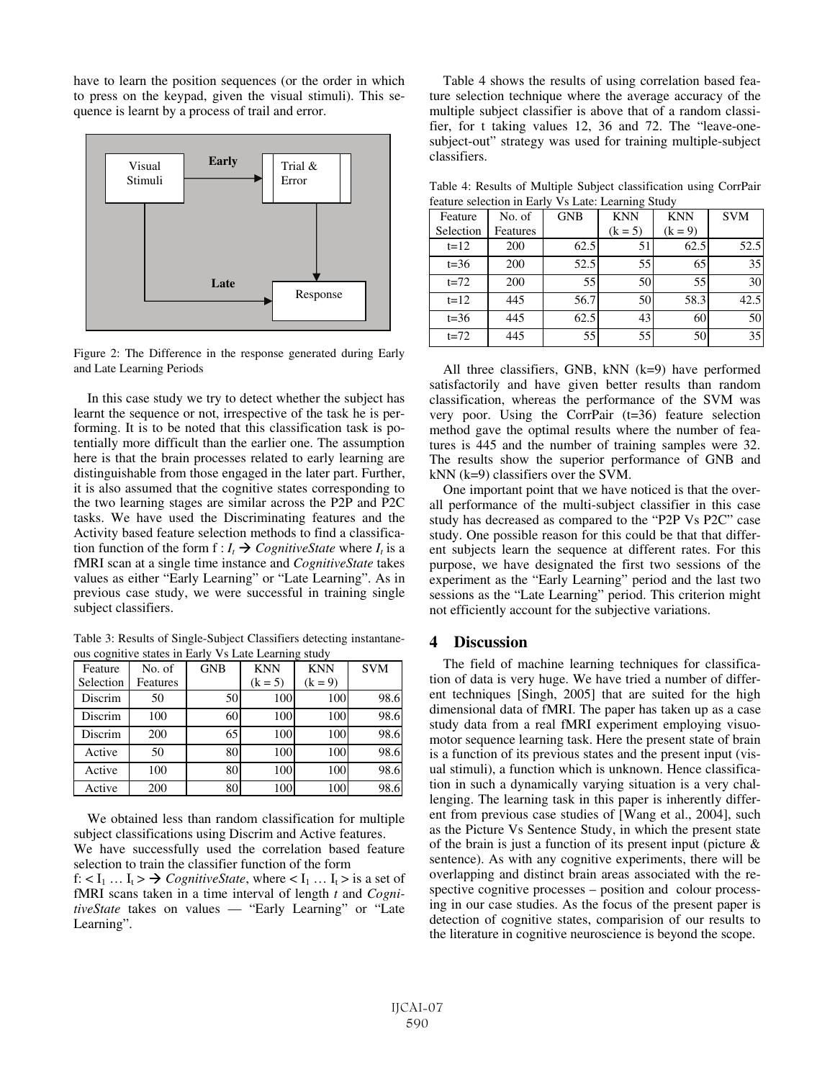have to learn the position sequences (or the order in which to press on the keypad, given the visual stimuli). This sequence is learnt by a process of trail and error.



Figure 2: The Difference in the response generated during Early and Late Learning Periods

In this case study we try to detect whether the subject has learnt the sequence or not, irrespective of the task he is performing. It is to be noted that this classification task is potentially more difficult than the earlier one. The assumption here is that the brain processes related to early learning are distinguishable from those engaged in the later part. Further, it is also assumed that the cognitive states corresponding to the two learning stages are similar across the P2P and P2C tasks. We have used the Discriminating features and the Activity based feature selection methods to find a classification function of the form  $f: I_t \to CognitiveState$  where  $I_t$  is a fMRI scan at a single time instance and *CognitiveState* takes values as either "Early Learning" or "Late Learning". As in previous case study, we were successful in training single subject classifiers.

Table 3: Results of Single-Subject Classifiers detecting instantaneous cognitive states in Early Vs Late Learning study

| Feature   | No. of   | <b>GNB</b> | <b>KNN</b> | <b>KNN</b> | <b>SVM</b> |
|-----------|----------|------------|------------|------------|------------|
| Selection | Features |            | $(k = 5)$  | $(k = 9)$  |            |
| Discrim   | 50       | 50         | 100        | 100        | 98.6       |
| Discrim   | 100      | 60         | 100        | 100        | 98.6       |
| Discrim   | 200      | 65         | 100        | 100        | 98.6       |
| Active    | 50       | 80         | 100        | 100        | 98.6       |
| Active    | 100      | 80         | 100        | 100        | 98.6       |
| Active    | 200      | 80         | 100        | 100        | 98.6       |

We obtained less than random classification for multiple subject classifications using Discrim and Active features.

We have successfully used the correlation based feature selection to train the classifier function of the form

f:  $\lt I_1$  ...  $I_t \gt \rightarrow CognitiveState$ , where  $\lt I_1$  ...  $I_t \gt$  is a set of fMRI scans taken in a time interval of length *t* and *CognitiveState* takes on values — "Early Learning" or "Late Learning".

Table 4 shows the results of using correlation based feature selection technique where the average accuracy of the multiple subject classifier is above that of a random classifier, for t taking values 12, 36 and 72. The "leave-onesubject-out" strategy was used for training multiple-subject classifiers.

Table 4: Results of Multiple Subject classification using CorrPair feature selection in Early Vs Late: Learning Study

| Feature   | No. of   | <b>GNB</b> | <b>KNN</b> | <b>KNN</b> | <b>SVM</b> |
|-----------|----------|------------|------------|------------|------------|
| Selection | Features |            | $(k = 5)$  | $(k = 9)$  |            |
| $t=12$    | 200      | 62.5       | 51         | 62.5       | 52.5       |
| $t=36$    | 200      | 52.5       | 55         | 65         | 35         |
| $t=72$    | 200      | 55         | 50         | 55         | 30         |
| $t=12$    | 445      | 56.7       | 50         | 58.3       | 42.5       |
| $t=36$    | 445      | 62.5       | 43         | 60         | 50         |
| $t=72$    | 445      | 55         | 55         | 50         | 35         |

All three classifiers, GNB, kNN (k=9) have performed satisfactorily and have given better results than random classification, whereas the performance of the SVM was very poor. Using the CorrPair (t=36) feature selection method gave the optimal results where the number of features is 445 and the number of training samples were 32. The results show the superior performance of GNB and kNN (k=9) classifiers over the SVM.

One important point that we have noticed is that the overall performance of the multi-subject classifier in this case study has decreased as compared to the "P2P Vs P2C" case study. One possible reason for this could be that that different subjects learn the sequence at different rates. For this purpose, we have designated the first two sessions of the experiment as the "Early Learning" period and the last two sessions as the "Late Learning" period. This criterion might not efficiently account for the subjective variations.

### **4 Discussion**

The field of machine learning techniques for classification of data is very huge. We have tried a number of different techniques [Singh, 2005] that are suited for the high dimensional data of fMRI. The paper has taken up as a case study data from a real fMRI experiment employing visuomotor sequence learning task. Here the present state of brain is a function of its previous states and the present input (visual stimuli), a function which is unknown. Hence classification in such a dynamically varying situation is a very challenging. The learning task in this paper is inherently different from previous case studies of [Wang et al., 2004], such as the Picture Vs Sentence Study, in which the present state of the brain is just a function of its present input (picture & sentence). As with any cognitive experiments, there will be overlapping and distinct brain areas associated with the respective cognitive processes – position and colour processing in our case studies. As the focus of the present paper is detection of cognitive states, comparision of our results to the literature in cognitive neuroscience is beyond the scope.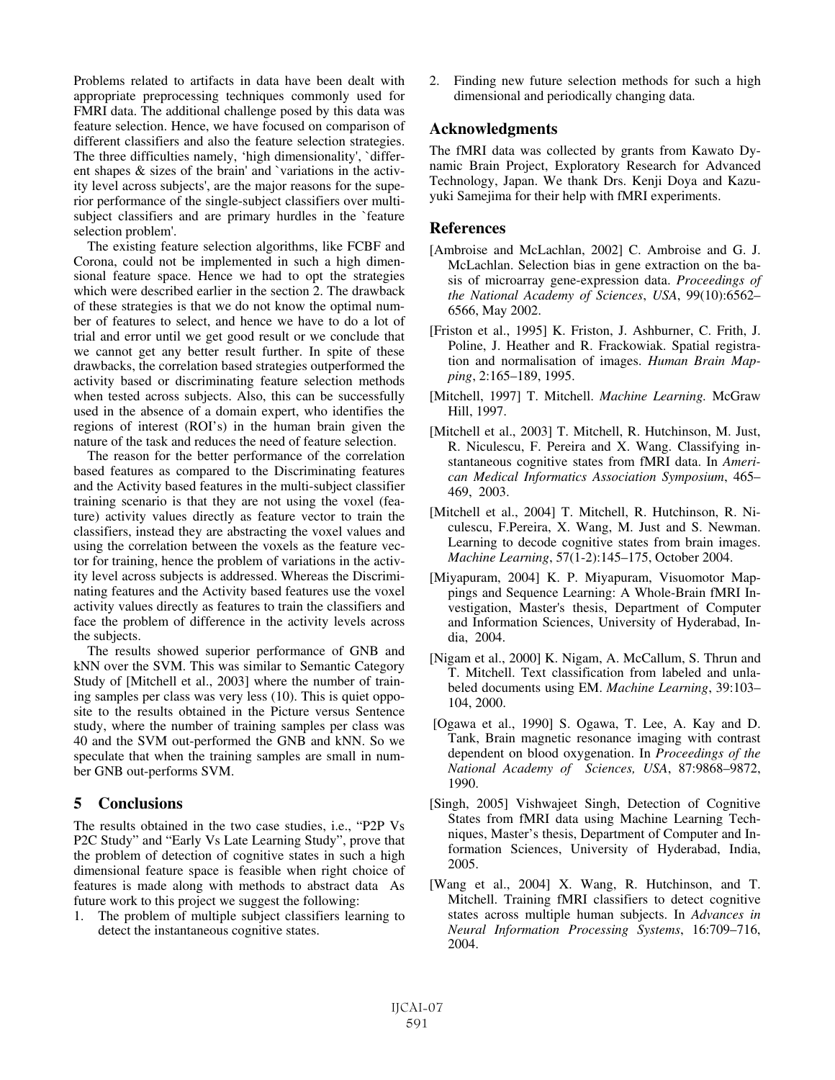Problems related to artifacts in data have been dealt with appropriate preprocessing techniques commonly used for FMRI data. The additional challenge posed by this data was feature selection. Hence, we have focused on comparison of different classifiers and also the feature selection strategies. The three difficulties namely, 'high dimensionality', `different shapes & sizes of the brain' and `variations in the activity level across subjects', are the major reasons for the superior performance of the single-subject classifiers over multisubject classifiers and are primary hurdles in the `feature selection problem'.

The existing feature selection algorithms, like FCBF and Corona, could not be implemented in such a high dimensional feature space. Hence we had to opt the strategies which were described earlier in the section 2. The drawback of these strategies is that we do not know the optimal number of features to select, and hence we have to do a lot of trial and error until we get good result or we conclude that we cannot get any better result further. In spite of these drawbacks, the correlation based strategies outperformed the activity based or discriminating feature selection methods when tested across subjects. Also, this can be successfully used in the absence of a domain expert, who identifies the regions of interest (ROI's) in the human brain given the nature of the task and reduces the need of feature selection.

The reason for the better performance of the correlation based features as compared to the Discriminating features and the Activity based features in the multi-subject classifier training scenario is that they are not using the voxel (feature) activity values directly as feature vector to train the classifiers, instead they are abstracting the voxel values and using the correlation between the voxels as the feature vector for training, hence the problem of variations in the activity level across subjects is addressed. Whereas the Discriminating features and the Activity based features use the voxel activity values directly as features to train the classifiers and face the problem of difference in the activity levels across the subjects.

The results showed superior performance of GNB and kNN over the SVM. This was similar to Semantic Category Study of [Mitchell et al., 2003] where the number of training samples per class was very less (10). This is quiet opposite to the results obtained in the Picture versus Sentence study, where the number of training samples per class was 40 and the SVM out-performed the GNB and kNN. So we speculate that when the training samples are small in number GNB out-performs SVM.

### **5 Conclusions**

The results obtained in the two case studies, i.e., "P2P Vs P2C Study" and "Early Vs Late Learning Study", prove that the problem of detection of cognitive states in such a high dimensional feature space is feasible when right choice of features is made along with methods to abstract data As future work to this project we suggest the following:

1. The problem of multiple subject classifiers learning to detect the instantaneous cognitive states.

2. Finding new future selection methods for such a high dimensional and periodically changing data.

## **Acknowledgments**

The fMRI data was collected by grants from Kawato Dynamic Brain Project, Exploratory Research for Advanced Technology, Japan. We thank Drs. Kenji Doya and Kazuyuki Samejima for their help with fMRI experiments.

### **References**

- [Ambroise and McLachlan, 2002] C. Ambroise and G. J. McLachlan. Selection bias in gene extraction on the basis of microarray gene-expression data. *Proceedings of the National Academy of Sciences*, *USA*, 99(10):6562– 6566, May 2002.
- [Friston et al., 1995] K. Friston, J. Ashburner, C. Frith, J. Poline, J. Heather and R. Frackowiak. Spatial registration and normalisation of images. *Human Brain Mapping*, 2:165–189, 1995.
- [Mitchell, 1997] T. Mitchell. *Machine Learning*. McGraw Hill, 1997.
- [Mitchell et al., 2003] T. Mitchell, R. Hutchinson, M. Just, R. Niculescu, F. Pereira and X. Wang. Classifying instantaneous cognitive states from fMRI data. In *American Medical Informatics Association Symposium*, 465– 469, 2003.
- [Mitchell et al., 2004] T. Mitchell, R. Hutchinson, R. Niculescu, F.Pereira, X. Wang, M. Just and S. Newman. Learning to decode cognitive states from brain images. *Machine Learning*, 57(1-2):145–175, October 2004.
- [Miyapuram, 2004] K. P. Miyapuram, Visuomotor Mappings and Sequence Learning: A Whole-Brain fMRI Investigation, Master's thesis, Department of Computer and Information Sciences, University of Hyderabad, India, 2004.
- [Nigam et al., 2000] K. Nigam, A. McCallum, S. Thrun and T. Mitchell. Text classification from labeled and unlabeled documents using EM. *Machine Learning*, 39:103– 104, 2000.
- [Ogawa et al., 1990] S. Ogawa, T. Lee, A. Kay and D. Tank, Brain magnetic resonance imaging with contrast dependent on blood oxygenation. In *Proceedings of the National Academy of Sciences, USA*, 87:9868–9872, 1990.
- [Singh, 2005] Vishwajeet Singh, Detection of Cognitive States from fMRI data using Machine Learning Techniques, Master's thesis, Department of Computer and Information Sciences, University of Hyderabad, India, 2005.
- [Wang et al., 2004] X. Wang, R. Hutchinson, and T. Mitchell. Training fMRI classifiers to detect cognitive states across multiple human subjects. In *Advances in Neural Information Processing Systems*, 16:709–716, 2004.